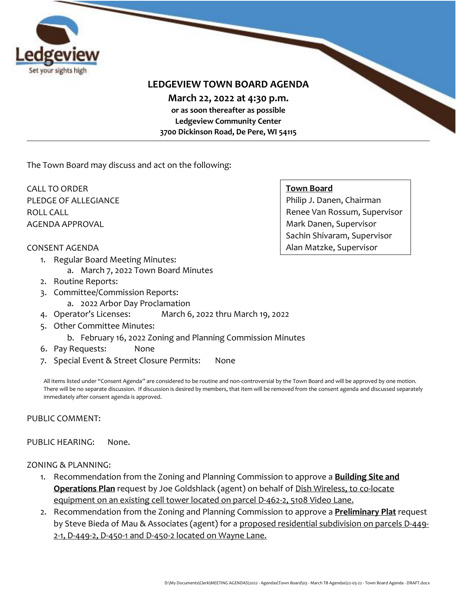

## **LEDGEVIEW TOWN BOARD AGENDA**

**March 22, 2022 at 4:30 p.m.** 

**or as soon thereafter as possible Ledgeview Community Center 3700 Dickinson Road, De Pere, WI 54115**

The Town Board may discuss and act on the following:

CALL TO ORDER PLEDGE OF ALLEGIANCE ROLL CALL AGENDA APPROVAL

#### **Town Board**

Philip J. Danen, Chairman Renee Van Rossum, Supervisor Mark Danen, Supervisor Sachin Shivaram, Supervisor Alan Matzke, Supervisor

- CONSENT AGENDA
	- 1. Regular Board Meeting Minutes:
		- a. March 7, 2022 Town Board Minutes
	- 2. Routine Reports:
	- 3. Committee/Commission Reports:
		- a. 2022 Arbor Day Proclamation
	- 4. Operator's Licenses: March 6, 2022 thru March 19, 2022
	- 5. Other Committee Minutes:
		- b. February 16, 2022 Zoning and Planning Commission Minutes
	- 6. Pay Requests: None
	- 7. Special Event & Street Closure Permits: None

All items listed under "Consent Agenda" are considered to be routine and non-controversial by the Town Board and will be approved by one motion. There will be no separate discussion. If discussion is desired by members, that item will be removed from the consent agenda and discussed separately immediately after consent agenda is approved.

#### PUBLIC COMMENT:

#### PUBLIC HEARING: None.

#### ZONING & PLANNING:

- 1. Recommendation from the Zoning and Planning Commission to approve a **Building Site and Operations Plan** request by Joe Goldshlack (agent) on behalf of Dish Wireless, to co-locate equipment on an existing cell tower located on parcel D-462-2, 5108 Video Lane.
- 2. Recommendation from the Zoning and Planning Commission to approve a **Preliminary Plat** request by Steve Bieda of Mau & Associates (agent) for a proposed residential subdivision on parcels D-449- 2-1, D-449-2, D-450-1 and D-450-2 located on Wayne Lane.